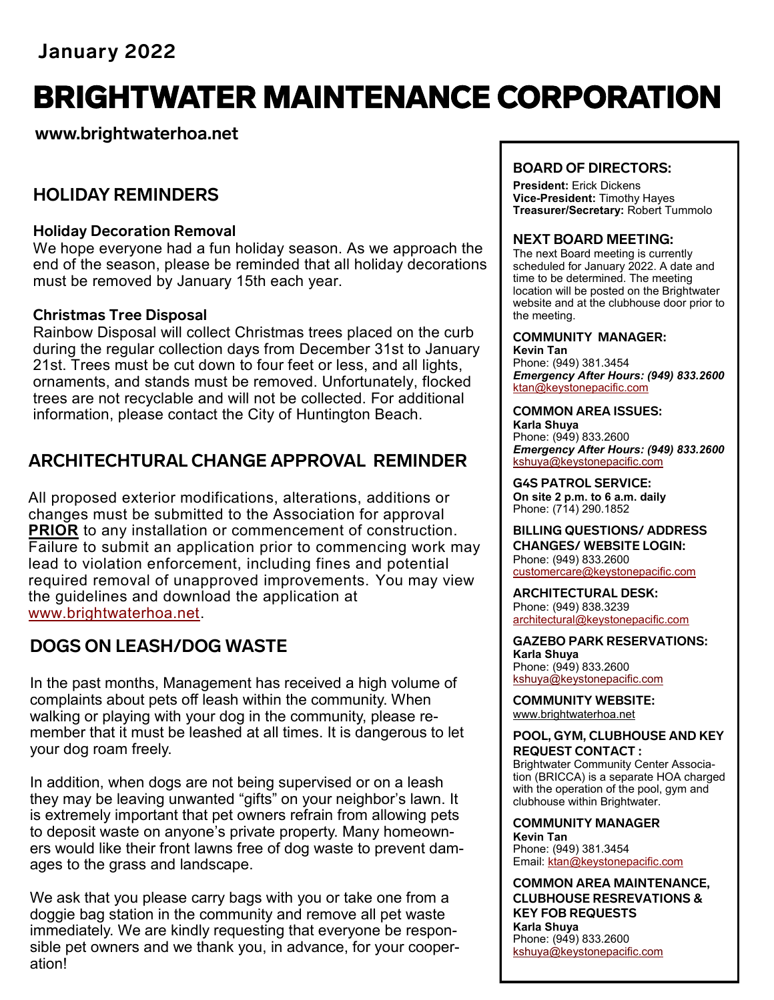# BRIGHTWATER MAINTENANCE CORPORATION

**www.brightwaterhoa.net**

# **HOLIDAY REMINDERS**

### **Holiday Decoration Removal**

We hope everyone had a fun holiday season. As we approach the end of the season, please be reminded that all holiday decorations must be removed by January 15th each year.

### **Christmas Tree Disposal**

Rainbow Disposal will collect Christmas trees placed on the curb during the regular collection days from December 31st to January 21st. Trees must be cut down to four feet or less, and all lights, ornaments, and stands must be removed. Unfortunately, flocked trees are not recyclable and will not be collected. For additional information, please contact the City of Huntington Beach.

# **ARCHITECHTURAL CHANGE APPROVAL REMINDER**

All proposed exterior modifications, alterations, additions or changes must be submitted to the Association for approval **PRIOR** to any installation or commencement of construction. Failure to submit an application prior to commencing work may lead to violation enforcement, including fines and potential required removal of unapproved improvements. You may view the guidelines and download the application at [www.brightwaterhoa.net.](http://www.brightwaterhoa.net)

# **DOGS ON LEASH/DOG WASTE**

In the past months, Management has received a high volume of complaints about pets off leash within the community. When walking or playing with your dog in the community, please remember that it must be leashed at all times. It is dangerous to let your dog roam freely.

In addition, when dogs are not being supervised or on a leash they may be leaving unwanted "gifts" on your neighbor's lawn. It is extremely important that pet owners refrain from allowing pets to deposit waste on anyone's private property. Many homeowners would like their front lawns free of dog waste to prevent damages to the grass and landscape.

We ask that you please carry bags with you or take one from a doggie bag station in the community and remove all pet waste immediately. We are kindly requesting that everyone be responsible pet owners and we thank you, in advance, for your cooperation!

### **BOARD OF DIRECTORS:**

**President:** Erick Dickens **Vice-President:** Timothy Hayes **Treasurer/Secretary:** Robert Tummolo

### **NEXT BOARD MEETING:**

The next Board meeting is currently scheduled for January 2022. A date and time to be determined. The meeting location will be posted on the Brightwater website and at the clubhouse door prior to the meeting.

#### **COMMUNITY MANAGER: Kevin Tan**

Phone: (949) 381.3454 *Emergency After Hours: (949) 833.2600* kta[n@keystonepacific.com](mailto:asoto@keystonepacific.com) 

#### **COMMON AREA ISSUES:**

**Karla Shuya** Phone: (949) 833.2600 *Emergency After Hours: (949) 833.2600* kshuya[@keystonepacific.com](mailto:lcruz@keystonepacific.com)

**G4S PATROL SERVICE: On site 2 p.m. to 6 a.m. daily** Phone: (714) 290.1852

**BILLING QUESTIONS/ ADDRESS CHANGES/ WEBSITE LOGIN:** Phone: (949) 833.2600 [customercare@keystonepacific.com](mailto:customercare@keystonepacific.com)

**ARCHITECTURAL DESK:** Phone: (949) 838.3239 [architectural@keystonepacific.com](mailto:architectural@keystonepacific.com)

**GAZEBO PARK RESERVATIONS: Karla Shuya** Phone: (949) 833.2600 kshuya[@keystonepacific.com](mailto:lcruz@keystonepacific.com)

**COMMUNITY WEBSITE:** [www.brightwaterhoa.net](http://www.brightwaterhoa.net) 

#### **POOL, GYM, CLUBHOUSE AND KEY REQUEST CONTACT :**

Brightwater Community Center Association (BRICCA) is a separate HOA charged with the operation of the pool, gym and clubhouse within Brightwater.

**COMMUNITY MANAGER Kevin Tan** Phone: (949) 381.3454 Email: [ktan@keystonepacific.com](mailto:asoto@keystonepacific.com)

**COMMON AREA MAINTENANCE, CLUBHOUSE RESREVATIONS & KEY FOB REQUESTS Karla Shuya** Phone: (949) 833.2600 kshuya[@keystonepacific.com](mailto:lcruz@keystonepacific.com)